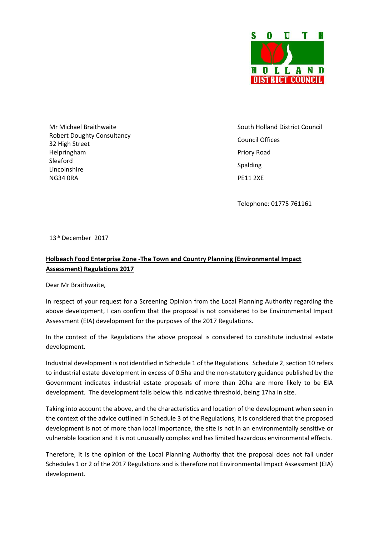

Mr Michael Braithwaite Robert Doughty Consultancy 32 High Street Helpringham Sleaford Lincolnshire NG34 0RA

 South Holland District Council Council Offices Priory Road Spalding PE11 2XE

Telephone: 01775 761161

13th December 2017

## **Holbeach Food Enterprise Zone ‐The Town and Country Planning (Environmental Impact Assessment) Regulations 2017**

Dear Mr Braithwaite,

In respect of your request for a Screening Opinion from the Local Planning Authority regarding the above development, I can confirm that the proposal is not considered to be Environmental Impact Assessment (EIA) development for the purposes of the 2017 Regulations.

In the context of the Regulations the above proposal is considered to constitute industrial estate development.

Industrial development is not identified in Schedule 1 of the Regulations. Schedule 2, section 10 refers to industrial estate development in excess of 0.5ha and the non-statutory guidance published by the Government indicates industrial estate proposals of more than 20ha are more likely to be EIA development. The development falls below this indicative threshold, being 17ha in size.

Taking into account the above, and the characteristics and location of the development when seen in the context of the advice outlined in Schedule 3 of the Regulations, it is considered that the proposed development is not of more than local importance, the site is not in an environmentally sensitive or vulnerable location and it is not unusually complex and has limited hazardous environmental effects.

Therefore, it is the opinion of the Local Planning Authority that the proposal does not fall under Schedules 1 or 2 of the 2017 Regulations and is therefore not Environmental Impact Assessment (EIA) development.